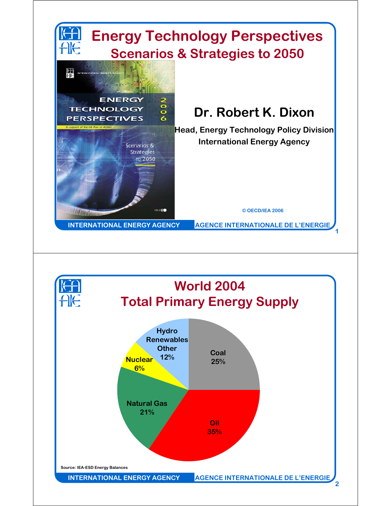

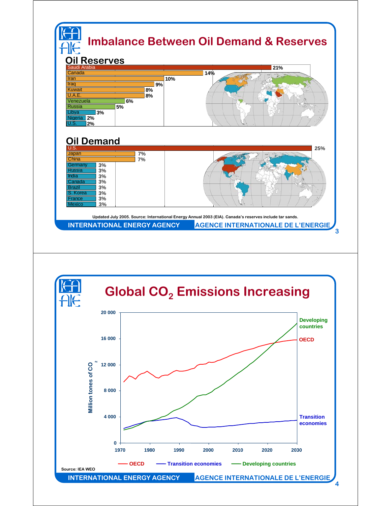

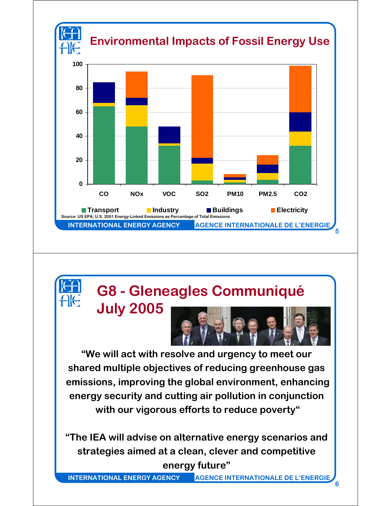

## **G8 - Gleneagles Communiqué**

**July 2005**

**"We will act with resolve and urgency to meet our shared multiple objectives of reducing greenhouse gas emissions, improving the global environment, enhancing energy security and cutting air pollution in conjunction with our vigorous efforts to reduce poverty"**

**"The IEA will advise on alternative energy scenarios and strategies aimed at a clean, clever and competitive energy future"**

**INTERNATIONAL ENERGY AGENCY AGENCE INTERNATIONALE DE L'ENERGIE**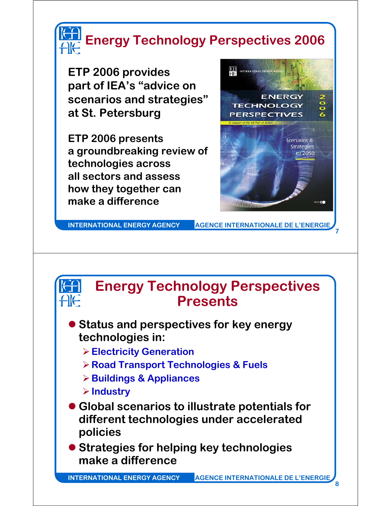

**ETP 2006 provides part of IEA's "advice on scenarios and strategies" at St. Petersburg**

**ETP 2006 presents a groundbreaking review of technologies across all sectors and assess how they together can make a difference**



**INTERNATIONAL ENERGY AGENCY AGENCE INTERNATIONALE DE L'ENERGIE**

**7**



## **Energy Technology Perspectives Presents**

- **Status and perspectives for key energy technologies in:**
	- ¾**Electricity Generation**
	- ¾**Road Transport Technologies & Fuels**
	- ¾**Buildings & Appliances**
	- ¾**Industry**
- **Global scenarios to illustrate potentials for different technologies under accelerated policies**
- **Strategies for helping key technologies make a difference**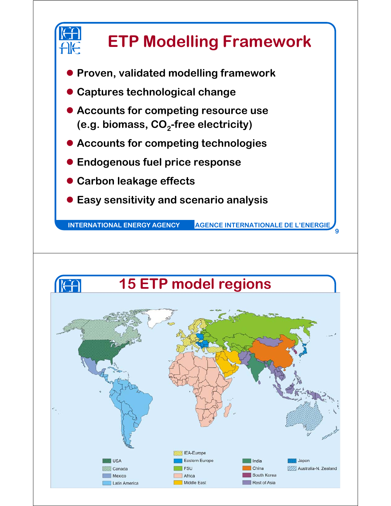

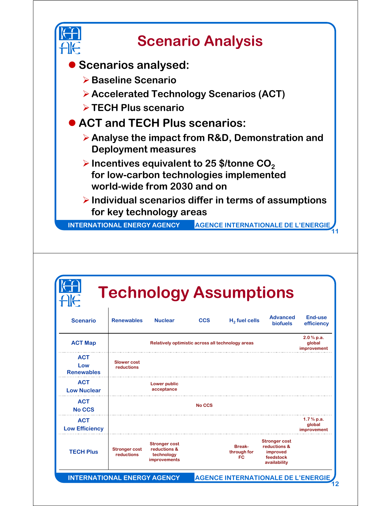

| <b>Scenario</b>                        | <b>Renewables</b>                  | <b>Nuclear</b>                                                     | <b>CCS</b> | $H2$ fuel cells                           | <b>Advanced</b><br><b>biofuels</b>                                            | End-use<br>efficiency                |
|----------------------------------------|------------------------------------|--------------------------------------------------------------------|------------|-------------------------------------------|-------------------------------------------------------------------------------|--------------------------------------|
| <b>ACT Map</b>                         |                                    | Relatively optimistic across all technology areas                  |            |                                           |                                                                               | $2.0%$ p.a.<br>global<br>improvement |
| <b>ACT</b><br>Low<br><b>Renewables</b> | <b>Slower cost</b><br>reductions   |                                                                    |            |                                           |                                                                               |                                      |
| <b>ACT</b><br><b>Low Nuclear</b>       |                                    | <b>Lower public</b><br>acceptance                                  |            |                                           |                                                                               |                                      |
| <b>ACT</b><br><b>No CCS</b>            |                                    |                                                                    | No CCS     |                                           |                                                                               |                                      |
| <b>ACT</b><br><b>Low Efficiency</b>    |                                    |                                                                    |            |                                           |                                                                               | $1.7%$ p.a.<br>global<br>improvement |
| <b>TECH Plus</b>                       | <b>Stronger cost</b><br>reductions | <b>Stronger cost</b><br>reductions &<br>technology<br>improvements |            | <b>Break-</b><br>through for<br><b>FC</b> | <b>Stronger cost</b><br>reductions &<br>improved<br>feedstock<br>availability |                                      |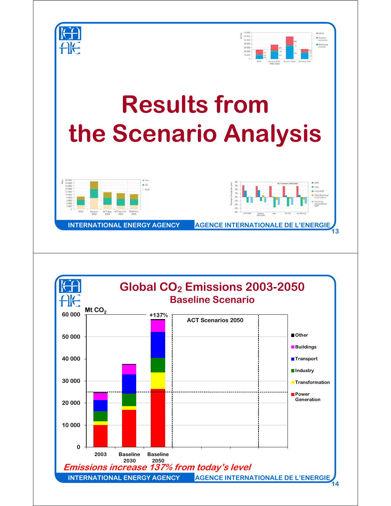

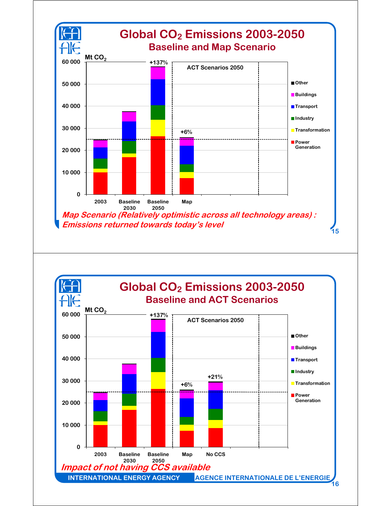

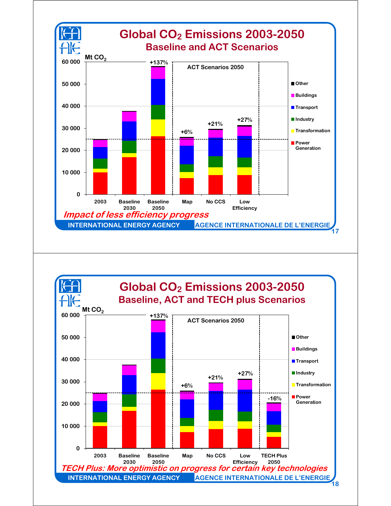

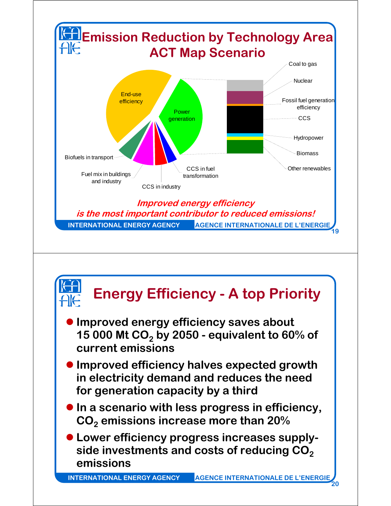

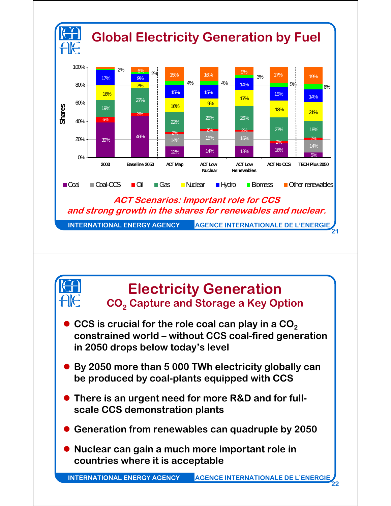



## **Electricity Generation CO2 Capture and Storage a Key Option**

- **CCS** is crucial for the role coal can play in a CO<sub>2</sub> **constrained world – without CCS coal-fired generation in 2050 drops below today's level**
- By 2050 more than 5 000 TWh electricity globally can **be produced by coal-plants equipped with CCS**
- **There is an urgent need for more R&D and for fullscale CCS demonstration plants**
- **Generation from renewables can quadruple by 2050**
- **Nuclear can gain a much more important role in countries where it is acceptable**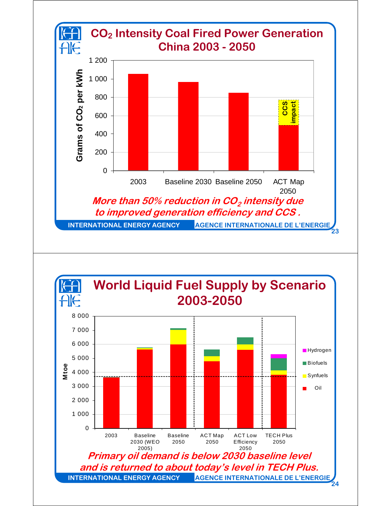



**24**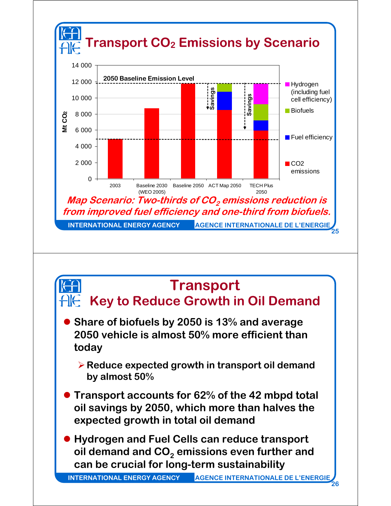

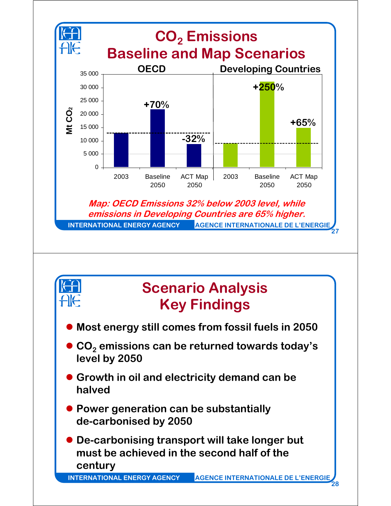

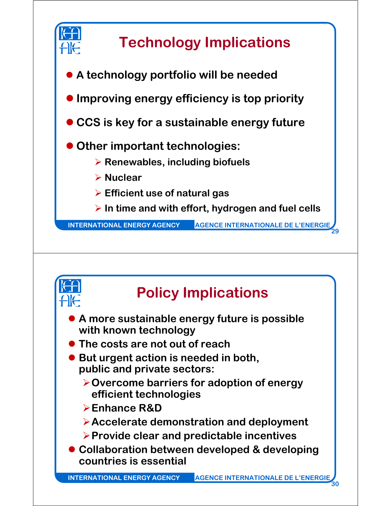



## **Policy Implications**

- **A more sustainable energy future is possible with known technology**
- **The costs are not out of reach**
- But urgent action is needed in both, **public and private sectors:**
	- ¾**Overcome barriers for adoption of energy efficient technologies**
	- ¾**Enhance R&D**
	- ¾**Accelerate demonstration and deployment**
	- ¾**Provide clear and predictable incentives**
- **Collaboration between developed & developing countries is essential**